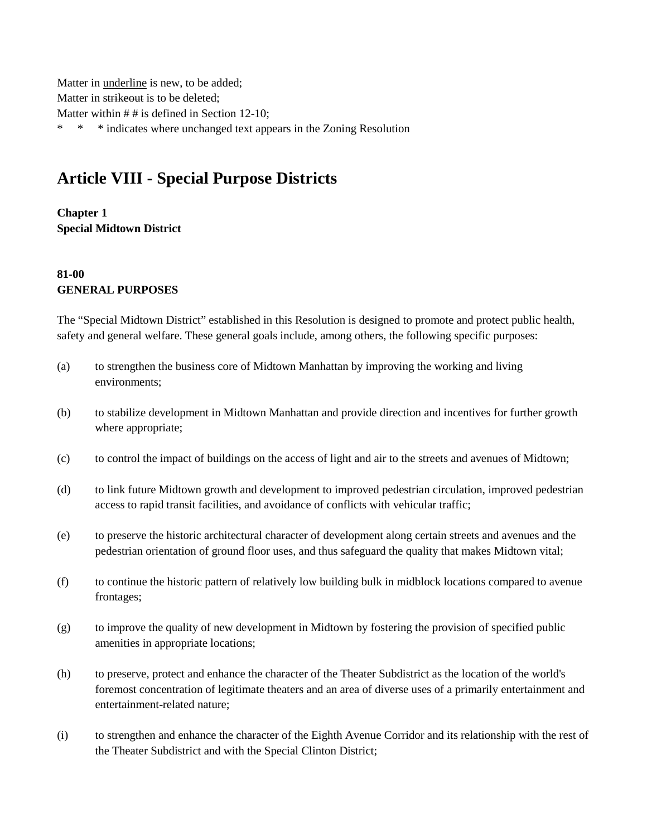Matter in underline is new, to be added; Matter in strikeout is to be deleted; Matter within  $# #$  is defined in Section 12-10; \* \* \* indicates where unchanged text appears in the Zoning Resolution

# **Article VIII - Special Purpose Districts**

**Chapter 1 Special Midtown District**

#### **81-00 GENERAL PURPOSES**

The "Special Midtown District" established in this Resolution is designed to promote and protect public health, safety and general welfare. These general goals include, among others, the following specific purposes:

- (a) to strengthen the business core of Midtown Manhattan by improving the working and living environments;
- (b) to stabilize development in Midtown Manhattan and provide direction and incentives for further growth where appropriate;
- (c) to control the impact of buildings on the access of light and air to the streets and avenues of Midtown;
- (d) to link future Midtown growth and development to improved pedestrian circulation, improved pedestrian access to rapid transit facilities, and avoidance of conflicts with vehicular traffic;
- (e) to preserve the historic architectural character of development along certain streets and avenues and the pedestrian orientation of ground floor uses, and thus safeguard the quality that makes Midtown vital;
- (f) to continue the historic pattern of relatively low building bulk in midblock locations compared to avenue frontages;
- (g) to improve the quality of new development in Midtown by fostering the provision of specified public amenities in appropriate locations;
- (h) to preserve, protect and enhance the character of the Theater Subdistrict as the location of the world's foremost concentration of legitimate theaters and an area of diverse uses of a primarily entertainment and entertainment-related nature;
- (i) to strengthen and enhance the character of the Eighth Avenue Corridor and its relationship with the rest of the Theater Subdistrict and with the Special Clinton District;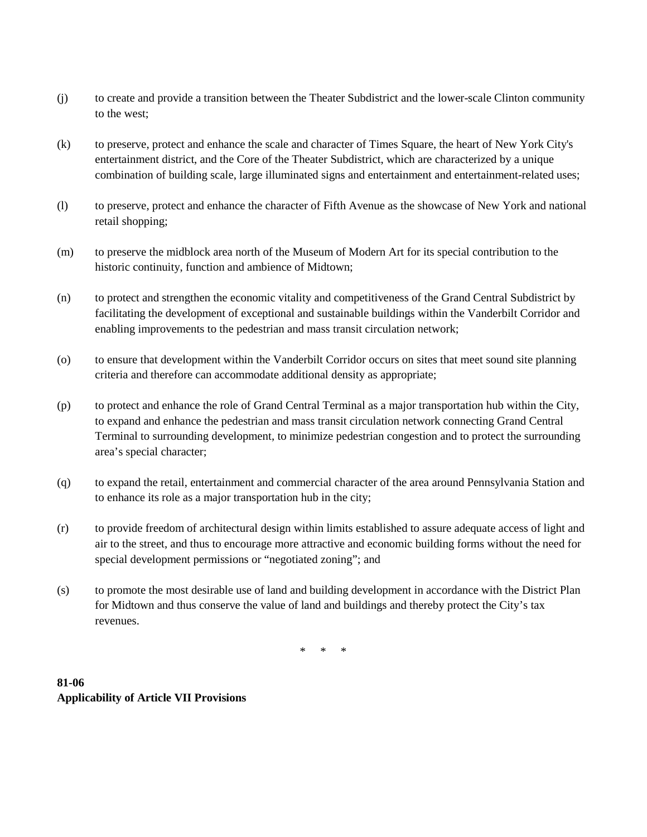- (j) to create and provide a transition between the Theater Subdistrict and the lower-scale Clinton community to the west;
- (k) to preserve, protect and enhance the scale and character of Times Square, the heart of New York City's entertainment district, and the Core of the Theater Subdistrict, which are characterized by a unique combination of building scale, large illuminated signs and entertainment and entertainment-related uses;
- (l) to preserve, protect and enhance the character of Fifth Avenue as the showcase of New York and national retail shopping;
- (m) to preserve the midblock area north of the Museum of Modern Art for its special contribution to the historic continuity, function and ambience of Midtown;
- (n) to protect and strengthen the economic vitality and competitiveness of the Grand Central Subdistrict by facilitating the development of exceptional and sustainable buildings within the Vanderbilt Corridor and enabling improvements to the pedestrian and mass transit circulation network;
- (o) to ensure that development within the Vanderbilt Corridor occurs on sites that meet sound site planning criteria and therefore can accommodate additional density as appropriate;
- (p) to protect and enhance the role of Grand Central Terminal as a major transportation hub within the City, to expand and enhance the pedestrian and mass transit circulation network connecting Grand Central Terminal to surrounding development, to minimize pedestrian congestion and to protect the surrounding area's special character;
- (q) to expand the retail, entertainment and commercial character of the area around Pennsylvania Station and to enhance its role as a major transportation hub in the city;
- (r) to provide freedom of architectural design within limits established to assure adequate access of light and air to the street, and thus to encourage more attractive and economic building forms without the need for special development permissions or "negotiated zoning"; and
- (s) to promote the most desirable use of land and building development in accordance with the District Plan for Midtown and thus conserve the value of land and buildings and thereby protect the City's tax revenues.

\* \* \*

**81-06 Applicability of Article VII Provisions**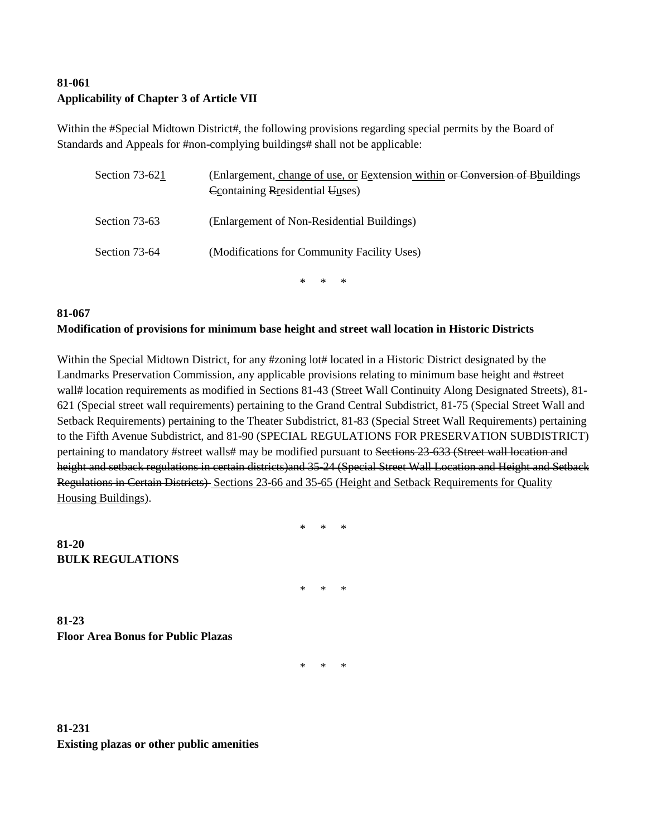#### **81-061 Applicability of Chapter 3 of Article VII**

Within the #Special Midtown District#, the following provisions regarding special permits by the Board of Standards and Appeals for #non-complying buildings# shall not be applicable:

| Section 73-621 | (Enlargement, change of use, or Egxtension within or Conversion of Bhuildings<br>Containing Residential Uuses) |
|----------------|----------------------------------------------------------------------------------------------------------------|
| Section 73-63  | (Enlargement of Non-Residential Buildings)                                                                     |
| Section 73-64  | (Modifications for Community Facility Uses)                                                                    |
|                | * * *                                                                                                          |

#### **81-067 Modification of provisions for minimum base height and street wall location in Historic Districts**

Within the Special Midtown District, for any #zoning lot# located in a Historic District designated by the Landmarks Preservation Commission, any applicable provisions relating to minimum base height and #street wall# location requirements as modified in Sections 81-43 (Street Wall Continuity Along Designated Streets), 81-621 (Special street wall requirements) pertaining to the Grand Central Subdistrict, 81-75 (Special Street Wall and Setback Requirements) pertaining to the Theater Subdistrict, 81-83 (Special Street Wall Requirements) pertaining to the Fifth Avenue Subdistrict, and 81-90 (SPECIAL REGULATIONS FOR PRESERVATION SUBDISTRICT) pertaining to mandatory #street walls# may be modified pursuant to Sections 23-633 (Street wall location and height and setback regulations in certain districts)and 35-24 (Special Street Wall Location and Height and Setback Regulations in Certain Districts) Sections 23-66 and 35-65 (Height and Setback Requirements for Quality Housing Buildings).

\* \* \*

 $\star$ 

**81-23 Floor Area Bonus for Public Plazas**

**BULK REGULATIONS**

**81-20**

\* \* \*

**81-231 Existing plazas or other public amenities**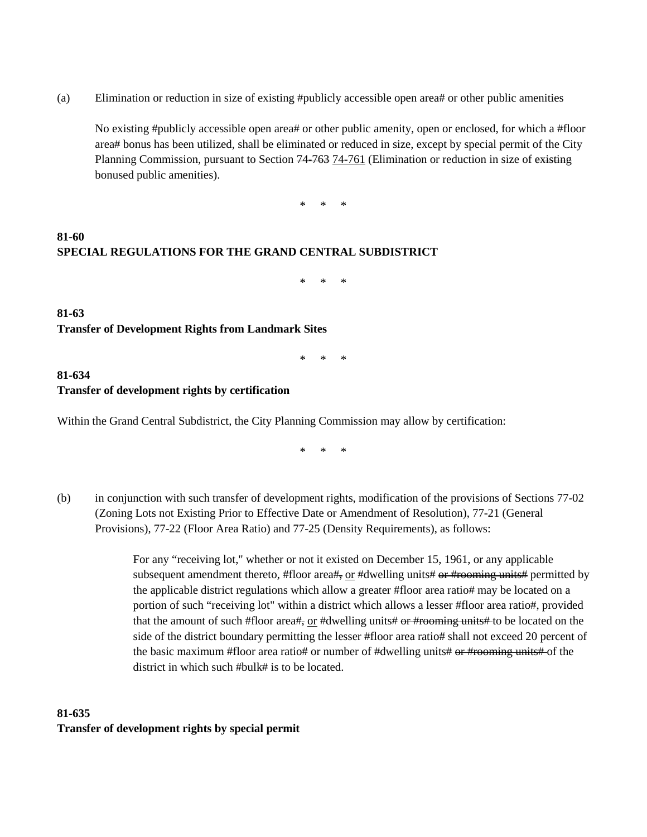(a) Elimination or reduction in size of existing #publicly accessible open area# or other public amenities

No existing #publicly accessible open area# or other public amenity, open or enclosed, for which a #floor area# bonus has been utilized, shall be eliminated or reduced in size, except by special permit of the City Planning Commission, pursuant to Section 74–763 74-761 (Elimination or reduction in size of existing bonused public amenities).

\* \* \*

### **81-60 SPECIAL REGULATIONS FOR THE GRAND CENTRAL SUBDISTRICT**

\* \* \*

**81-63 Transfer of Development Rights from Landmark Sites**

\* \* \*

#### **81-634 Transfer of development rights by certification**

Within the Grand Central Subdistrict, the City Planning Commission may allow by certification:

\* \* \*

(b) in conjunction with such transfer of development rights, modification of the provisions of Sections 77-02 (Zoning Lots not Existing Prior to Effective Date or Amendment of Resolution), 77-21 (General Provisions), 77-22 (Floor Area Ratio) and 77-25 (Density Requirements), as follows:

> For any "receiving lot," whether or not it existed on December 15, 1961, or any applicable subsequent amendment thereto, #floor area#, or #dwelling units# or #rooming units# permitted by the applicable district regulations which allow a greater #floor area ratio# may be located on a portion of such "receiving lot" within a district which allows a lesser #floor area ratio#, provided that the amount of such #floor area#, or #dwelling units#  $er$  #rooming units# to be located on the side of the district boundary permitting the lesser #floor area ratio# shall not exceed 20 percent of the basic maximum #floor area ratio# or number of #dwelling units# or #rooming units# of the district in which such #bulk# is to be located.

## **81-635 Transfer of development rights by special permit**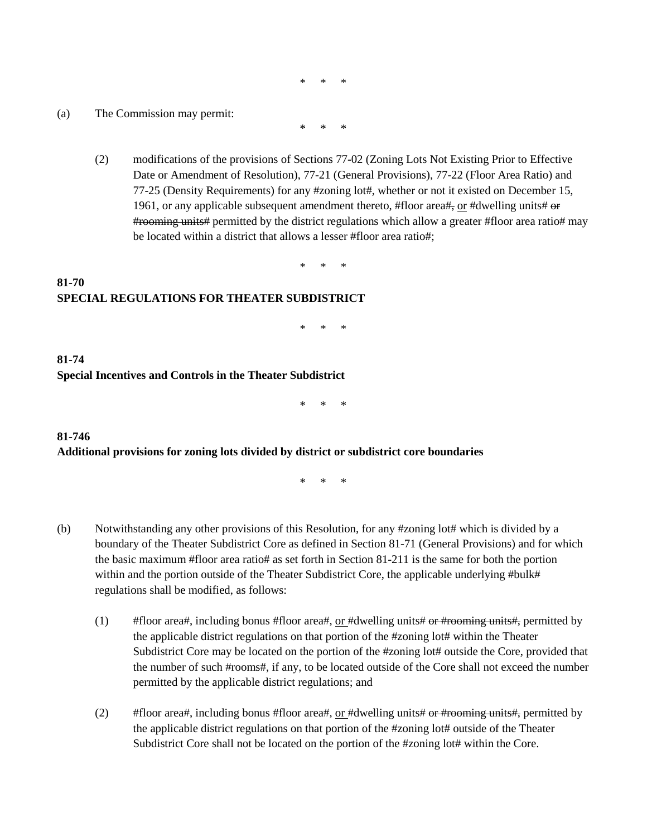\* \* \*

(a) The Commission may permit:

\* \* \*

(2) modifications of the provisions of Sections 77-02 (Zoning Lots Not Existing Prior to Effective Date or Amendment of Resolution), 77-21 (General Provisions), 77-22 (Floor Area Ratio) and 77-25 (Density Requirements) for any #zoning lot#, whether or not it existed on December 15, 1961, or any applicable subsequent amendment thereto, #floor area#, or #dwelling units#  $\Theta$ #rooming units# permitted by the district regulations which allow a greater #floor area ratio# may be located within a district that allows a lesser #floor area ratio#;

\* \* \*

#### **81-70 SPECIAL REGULATIONS FOR THEATER SUBDISTRICT**

\* \* \*

#### **81-74 Special Incentives and Controls in the Theater Subdistrict**

\* \* \*

#### **81-746 Additional provisions for zoning lots divided by district or subdistrict core boundaries**

\* \* \*

- (b) Notwithstanding any other provisions of this Resolution, for any #zoning lot# which is divided by a boundary of the Theater Subdistrict Core as defined in Section 81-71 (General Provisions) and for which the basic maximum #floor area ratio# as set forth in Section 81-211 is the same for both the portion within and the portion outside of the Theater Subdistrict Core, the applicable underlying #bulk# regulations shall be modified, as follows:
	- (1)  $\#$  #floor area#, including bonus #floor area#, <u>or</u> #dwelling units# or #rooming units#, permitted by the applicable district regulations on that portion of the #zoning lot# within the Theater Subdistrict Core may be located on the portion of the #zoning lot# outside the Core, provided that the number of such #rooms#, if any, to be located outside of the Core shall not exceed the number permitted by the applicable district regulations; and
	- (2)  $\#$  #floor area#, including bonus #floor area#, or #dwelling units# or #rooming units#, permitted by the applicable district regulations on that portion of the #zoning lot# outside of the Theater Subdistrict Core shall not be located on the portion of the #zoning lot# within the Core.